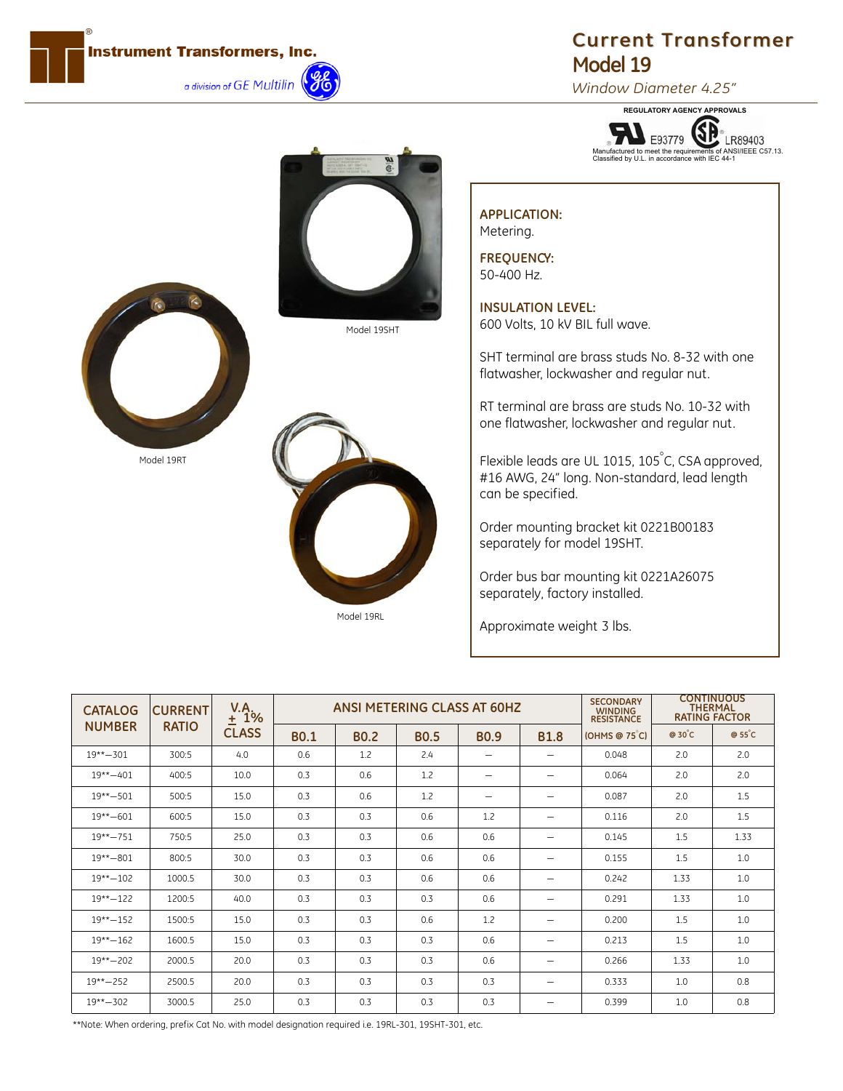

## **Current Transformer Current Transformer Model 19**

*Window Diameter 4.25"*

**REGULATORY AGENCY APPROVALS** (SP LR89403 Manufactured to meet the requirements of ANSI/IEEE C57.13. Classified by U.L. in accordance with IEC 44-1

## Model 19SHT





## **APPLICATION:** Metering.

**FREQUENCY:** 50-400 Hz.

**INSULATION LEVEL:** 600 Volts, 10 kV BIL full wave.

SHT terminal are brass studs No. 8-32 with one flatwasher, lockwasher and regular nut.

RT terminal are brass are studs No. 10-32 with one flatwasher, lockwasher and regular nut.

Flexible leads are UL 1015, 105 $^\circ$ C, CSA approved, #16 AWG, 24" long. Non-standard, lead length can be specified.

Order mounting bracket kit 0221B00183 separately for model 19SHT.

Order bus bar mounting kit 0221A26075 separately, factory installed.

Approximate weight 3 lbs.

| <b>CATALOG</b> | <b>CURRENT</b> | V.A.<br>$1\%$<br>土 | <b>ANSI METERING CLASS AT 60HZ</b> |             |             |             |                          | <b>SECONDARY</b><br><b>WINDING</b><br><b>RESISTANCE</b> | <b>CONTINUOUS</b><br><b>THERMAL</b><br><b>RATING FACTOR</b> |        |
|----------------|----------------|--------------------|------------------------------------|-------------|-------------|-------------|--------------------------|---------------------------------------------------------|-------------------------------------------------------------|--------|
| <b>NUMBER</b>  | <b>RATIO</b>   | <b>CLASS</b>       | <b>BO.1</b>                        | <b>BO.2</b> | <b>BO.5</b> | <b>BO.9</b> | <b>B1.8</b>              | [OHMS@75]                                               | $@30^{\circ}$ C                                             | @ 55°C |
| $19*** - 301$  | 300:5          | 4.0                | 0.6                                | 1.2         | 2.4         | -           | -                        | 0.048                                                   | 2.0                                                         | 2.0    |
| $19*** - 401$  | 400:5          | 10.0               | 0.3                                | 0.6         | 1.2         | -           |                          | 0.064                                                   | 2.0                                                         | 2.0    |
| $19*** - 501$  | 500:5          | 15.0               | 0.3                                | 0.6         | 1.2         | -           | -                        | 0.087                                                   | 2.0                                                         | 1.5    |
| $19*** - 601$  | 600:5          | 15.0               | 0.3                                | 0.3         | 0.6         | 1.2         |                          | 0.116                                                   | 2.0                                                         | 1.5    |
| $19** - 751$   | 750:5          | 25.0               | 0.3                                | 0.3         | 0.6         | 0.6         | $\overline{\phantom{m}}$ | 0.145                                                   | 1.5                                                         | 1.33   |
| $19*** - 801$  | 800:5          | 30.0               | 0.3                                | 0.3         | 0.6         | 0.6         | $\overline{\phantom{a}}$ | 0.155                                                   | 1.5                                                         | 1.0    |
| $19*** - 102$  | 1000.5         | 30.0               | 0.3                                | 0.3         | 0.6         | 0.6         | $\overline{\phantom{m}}$ | 0.242                                                   | 1.33                                                        | 1.0    |
| $19*** - 122$  | 1200:5         | 40.0               | 0.3                                | 0.3         | 0.3         | 0.6         | $\overline{\phantom{0}}$ | 0.291                                                   | 1.33                                                        | 1.0    |
| $19*** - 152$  | 1500:5         | 15.0               | 0.3                                | 0.3         | 0.6         | 1.2         |                          | 0.200                                                   | 1.5                                                         | 1.0    |
| $19*** - 162$  | 1600.5         | 15.0               | 0.3                                | 0.3         | 0.3         | 0.6         | $\overline{\phantom{m}}$ | 0.213                                                   | 1.5                                                         | 1.0    |
| $19*** - 202$  | 2000.5         | 20.0               | 0.3                                | 0.3         | 0.3         | 0.6         | -                        | 0.266                                                   | 1.33                                                        | 1.0    |
| $19*** - 252$  | 2500.5         | 20.0               | 0.3                                | 0.3         | 0.3         | 0.3         | $\overline{\phantom{m}}$ | 0.333                                                   | 1.0                                                         | 0.8    |
| $19*** - 302$  | 3000.5         | 25.0               | 0.3                                | 0.3         | 0.3         | 0.3         | -                        | 0.399                                                   | 1.0                                                         | 0.8    |

\*\*Note: When ordering, prefix Cat No. with model designation required i.e. 19RL-301, 19SHT-301, etc.